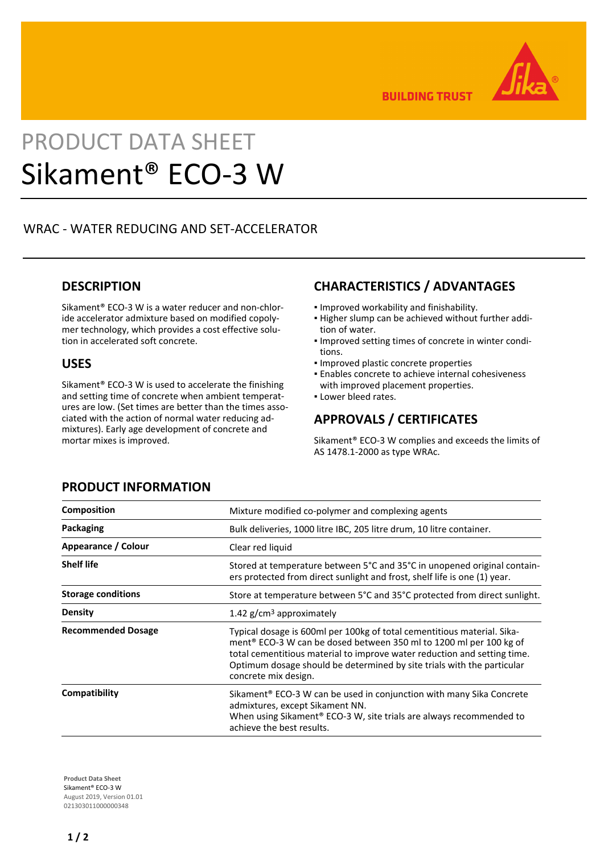

**BUILDING TRUST** 

# PRODUCT DATA SHEET Sikament® ECO-3 W

# WRAC - WATER REDUCING AND SET-ACCELERATOR

## **DESCRIPTION**

Sikament® ECO-3 W is a water reducer and non-chloride accelerator admixture based on modified copolymer technology, which provides a cost effective solution in accelerated soft concrete.

#### **USES**

Sikament® ECO-3 W is used to accelerate the finishing and setting time of concrete when ambient temperatures are low. (Set times are better than the times associated with the action of normal water reducing admixtures). Early age development of concrete and mortar mixes is improved.

# **CHARACTERISTICS / ADVANTAGES**

- Improved workability and finishability.
- Higher slump can be achieved without further addi-▪ tion of water.
- **.** Improved setting times of concrete in winter conditions.
- Improved plastic concrete properties
- **Enables concrete to achieve internal cohesiveness** with improved placement properties.
- **.** Lower bleed rates.

# **APPROVALS / CERTIFICATES**

Sikament® ECO-3 W complies and exceeds the limits of AS 1478.1-2000 as type WRAc.

| <b>Composition</b>        | Mixture modified co-polymer and complexing agents                                                                                                                                                                                                                                                                           |
|---------------------------|-----------------------------------------------------------------------------------------------------------------------------------------------------------------------------------------------------------------------------------------------------------------------------------------------------------------------------|
| Packaging                 | Bulk deliveries, 1000 litre IBC, 205 litre drum, 10 litre container.                                                                                                                                                                                                                                                        |
| Appearance / Colour       | Clear red liquid                                                                                                                                                                                                                                                                                                            |
| <b>Shelf life</b>         | Stored at temperature between 5°C and 35°C in unopened original contain-<br>ers protected from direct sunlight and frost, shelf life is one (1) year.                                                                                                                                                                       |
| <b>Storage conditions</b> | Store at temperature between 5°C and 35°C protected from direct sunlight.                                                                                                                                                                                                                                                   |
| <b>Density</b>            | 1.42 $g/cm3$ approximately                                                                                                                                                                                                                                                                                                  |
| <b>Recommended Dosage</b> | Typical dosage is 600ml per 100kg of total cementitious material. Sika-<br>ment® ECO-3 W can be dosed between 350 ml to 1200 ml per 100 kg of<br>total cementitious material to improve water reduction and setting time.<br>Optimum dosage should be determined by site trials with the particular<br>concrete mix design. |
| Compatibility             | Sikament <sup>®</sup> ECO-3 W can be used in conjunction with many Sika Concrete<br>admixtures, except Sikament NN.<br>When using Sikament <sup>®</sup> ECO-3 W, site trials are always recommended to<br>achieve the best results.                                                                                         |

## **PRODUCT INFORMATION**

**Product Data Sheet** Sikament® ECO-3 W August 2019, Version 01.01 021303011000000348